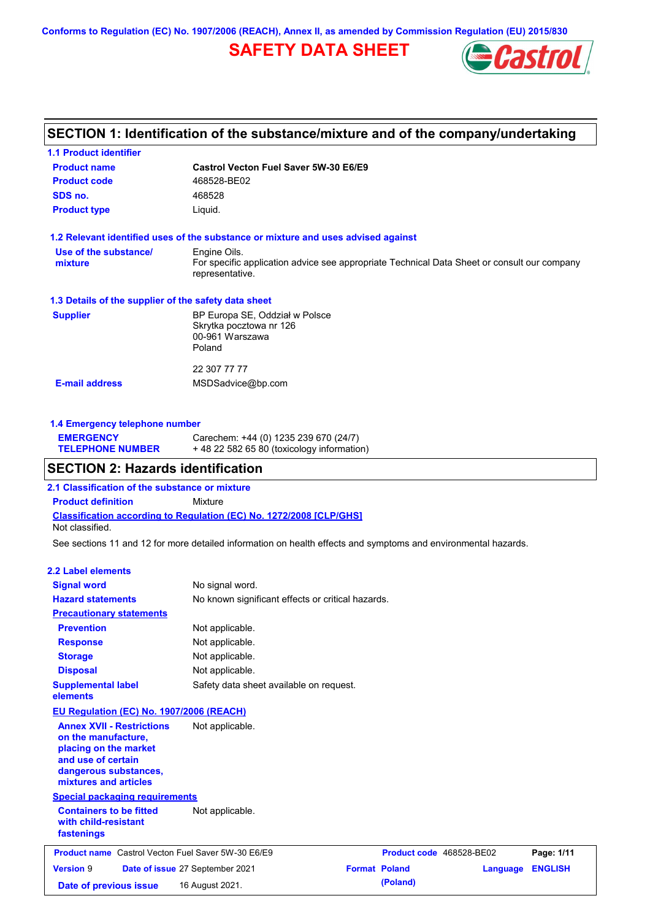**Conforms to Regulation (EC) No. 1907/2006 (REACH), Annex II, as amended by Commission Regulation (EU) 2015/830**

# **SAFETY DATA SHEET**



# **SECTION 1: Identification of the substance/mixture and of the company/undertaking**

| <b>Product name</b>                                  | Castrol Vecton Fuel Saver 5W-30 E6/E9                                                                          |
|------------------------------------------------------|----------------------------------------------------------------------------------------------------------------|
| <b>Product code</b>                                  | 468528-BE02                                                                                                    |
| SDS no.                                              | 468528                                                                                                         |
| <b>Product type</b>                                  | Liquid.                                                                                                        |
|                                                      | 1.2 Relevant identified uses of the substance or mixture and uses advised against                              |
| Use of the substance/                                | Engine Oils.                                                                                                   |
| mixture                                              | For specific application advice see appropriate Technical Data Sheet or consult our company<br>representative. |
| 1.3 Details of the supplier of the safety data sheet |                                                                                                                |
| <b>Supplier</b>                                      | BP Europa SE, Oddział w Polsce                                                                                 |
|                                                      | Skrytka pocztowa nr 126                                                                                        |
|                                                      | 00-961 Warszawa                                                                                                |
|                                                      | Poland                                                                                                         |
|                                                      | 22 307 77 77                                                                                                   |
|                                                      |                                                                                                                |

## **1.4 Emergency telephone number**

| <b>EMERGENCY</b>        | Carechem: +44 (0) 1235 239 670 (24/7)     |
|-------------------------|-------------------------------------------|
| <b>TELEPHONE NUMBER</b> | +48 22 582 65 80 (toxicology information) |

# **SECTION 2: Hazards identification**

**2.1 Classification of the substance or mixture**

**Classification according to Regulation (EC) No. 1272/2008 [CLP/GHS] Product definition** Mixture Not classified.

See sections 11 and 12 for more detailed information on health effects and symptoms and environmental hazards.

#### **2.2 Label elements**

| <b>Signal word</b><br><b>Hazard statements</b><br><b>Precautionary statements</b>                                                                        | No signal word.<br>No known significant effects or critical hazards. |                      |                          |          |                |
|----------------------------------------------------------------------------------------------------------------------------------------------------------|----------------------------------------------------------------------|----------------------|--------------------------|----------|----------------|
| <b>Prevention</b>                                                                                                                                        | Not applicable.                                                      |                      |                          |          |                |
| <b>Response</b>                                                                                                                                          | Not applicable.                                                      |                      |                          |          |                |
| <b>Storage</b>                                                                                                                                           | Not applicable.                                                      |                      |                          |          |                |
| <b>Disposal</b>                                                                                                                                          | Not applicable.                                                      |                      |                          |          |                |
| <b>Supplemental label</b><br>elements                                                                                                                    | Safety data sheet available on request.                              |                      |                          |          |                |
| <b>EU Regulation (EC) No. 1907/2006 (REACH)</b>                                                                                                          |                                                                      |                      |                          |          |                |
| <b>Annex XVII - Restrictions</b><br>on the manufacture,<br>placing on the market<br>and use of certain<br>dangerous substances,<br>mixtures and articles | Not applicable.                                                      |                      |                          |          |                |
| <b>Special packaging requirements</b>                                                                                                                    |                                                                      |                      |                          |          |                |
| <b>Containers to be fitted</b><br>with child-resistant<br>fastenings                                                                                     | Not applicable.                                                      |                      |                          |          |                |
| <b>Product name</b> Castrol Vecton Fuel Saver 5W-30 E6/E9                                                                                                |                                                                      |                      | Product code 468528-BE02 |          | Page: 1/11     |
| <b>Version 9</b>                                                                                                                                         | Date of issue 27 September 2021                                      | <b>Format Poland</b> |                          | Language | <b>ENGLISH</b> |
| Date of previous issue                                                                                                                                   | 16 August 2021.                                                      |                      | (Poland)                 |          |                |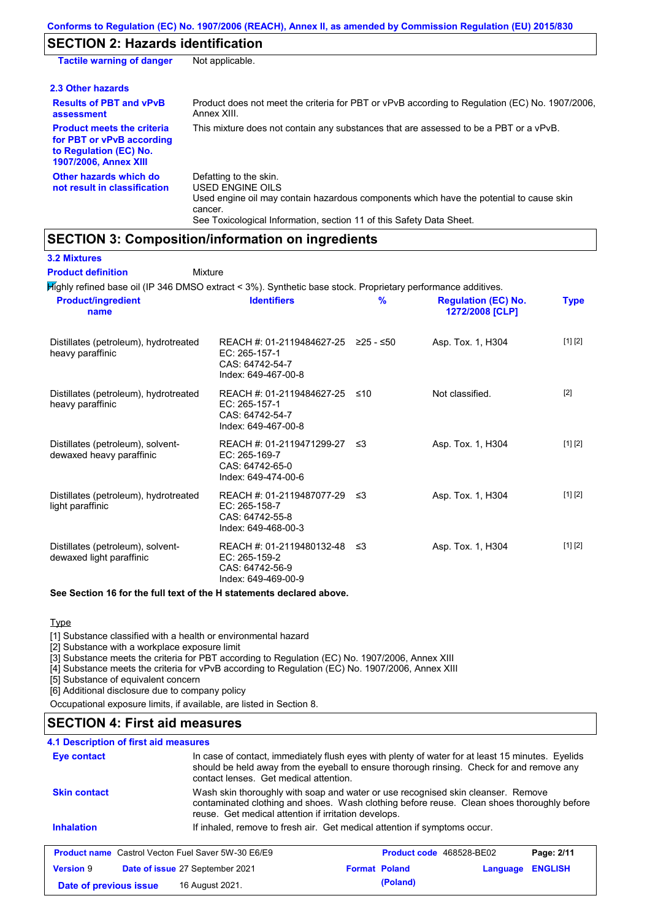# **SECTION 2: Hazards identification**

| <b>Tactile warning of danger</b>                                                                                         | Not applicable.                                                                                                                                                                                                          |
|--------------------------------------------------------------------------------------------------------------------------|--------------------------------------------------------------------------------------------------------------------------------------------------------------------------------------------------------------------------|
| 2.3 Other hazards                                                                                                        |                                                                                                                                                                                                                          |
| <b>Results of PBT and vPvB</b><br>assessment                                                                             | Product does not meet the criteria for PBT or vPvB according to Regulation (EC) No. 1907/2006,<br>Annex XIII.                                                                                                            |
| <b>Product meets the criteria</b><br>for PBT or vPvB according<br>to Regulation (EC) No.<br><b>1907/2006, Annex XIII</b> | This mixture does not contain any substances that are assessed to be a PBT or a vPvB.                                                                                                                                    |
| Other hazards which do<br>not result in classification                                                                   | Defatting to the skin.<br>USED ENGINE OILS<br>Used engine oil may contain hazardous components which have the potential to cause skin<br>cancer.<br>See Toxicological Information, section 11 of this Safety Data Sheet. |

# **SECTION 3: Composition/information on ingredients**

| <b>3.2 Mixtures</b><br><b>Product definition</b>                                                             | Mixture                                                                                        |      |                                               |             |
|--------------------------------------------------------------------------------------------------------------|------------------------------------------------------------------------------------------------|------|-----------------------------------------------|-------------|
| Mighly refined base oil (IP 346 DMSO extract < 3%). Synthetic base stock. Proprietary performance additives. |                                                                                                |      |                                               |             |
| <b>Product/ingredient</b><br>name                                                                            | <b>Identifiers</b>                                                                             | %    | <b>Regulation (EC) No.</b><br>1272/2008 [CLP] | <b>Type</b> |
| Distillates (petroleum), hydrotreated<br>heavy paraffinic                                                    | REACH #: 01-2119484627-25 ≥25 - ≤50<br>EC: 265-157-1<br>CAS: 64742-54-7<br>Index: 649-467-00-8 |      | Asp. Tox. 1, H304                             | [1] [2]     |
| Distillates (petroleum), hydrotreated<br>heavy paraffinic                                                    | REACH #: 01-2119484627-25<br>EC: 265-157-1<br>CAS: 64742-54-7<br>Index: 649-467-00-8           | ≤10  | Not classified.                               | $[2]$       |
| Distillates (petroleum), solvent-<br>dewaxed heavy paraffinic                                                | REACH #: 01-2119471299-27<br>EC: 265-169-7<br>CAS: 64742-65-0<br>Index: 649-474-00-6           | ≤3   | Asp. Tox. 1, H304                             | [1] [2]     |
| Distillates (petroleum), hydrotreated<br>light paraffinic                                                    | REACH #: 01-2119487077-29<br>EC: 265-158-7<br>CAS: 64742-55-8<br>Index: 649-468-00-3           | - ≤3 | Asp. Tox. 1, H304                             | [1] [2]     |
| Distillates (petroleum), solvent-<br>dewaxed light paraffinic                                                | REACH #: 01-2119480132-48<br>EC: 265-159-2<br>CAS: 64742-56-9<br>Index: 649-469-00-9           | ≲3   | Asp. Tox. 1, H304                             | [1] [2]     |

#### **See Section 16 for the full text of the H statements declared above.**

### **Type**

[1] Substance classified with a health or environmental hazard

[2] Substance with a workplace exposure limit

[3] Substance meets the criteria for PBT according to Regulation (EC) No. 1907/2006, Annex XIII

[4] Substance meets the criteria for vPvB according to Regulation (EC) No. 1907/2006, Annex XIII

[5] Substance of equivalent concern

[6] Additional disclosure due to company policy

Occupational exposure limits, if available, are listed in Section 8.

## **SECTION 4: First aid measures**

| <b>4.1 Description of first aid measures</b>                                                                                                                                                                                                           |                                                                                                                                                                                |                                 |          |                |
|--------------------------------------------------------------------------------------------------------------------------------------------------------------------------------------------------------------------------------------------------------|--------------------------------------------------------------------------------------------------------------------------------------------------------------------------------|---------------------------------|----------|----------------|
| In case of contact, immediately flush eyes with plenty of water for at least 15 minutes. Eyelids<br>Eye contact<br>should be held away from the eyeball to ensure thorough rinsing. Check for and remove any<br>contact lenses. Get medical attention. |                                                                                                                                                                                |                                 |          |                |
| <b>Skin contact</b>                                                                                                                                                                                                                                    | Wash skin thoroughly with soap and water or use recognised skin cleanser. Remove<br>contaminated clothing and shoes. Wash clothing before reuse. Clean shoes thoroughly before |                                 |          |                |
|                                                                                                                                                                                                                                                        | reuse. Get medical attention if irritation develops.                                                                                                                           |                                 |          |                |
| <b>Inhalation</b>                                                                                                                                                                                                                                      | If inhaled, remove to fresh air. Get medical attention if symptoms occur.                                                                                                      |                                 |          |                |
| <b>Product name</b> Castrol Vecton Fuel Saver 5W-30 E6/E9                                                                                                                                                                                              |                                                                                                                                                                                | <b>Product code</b> 468528-BE02 |          | Page: 2/11     |
| <b>Version 9</b>                                                                                                                                                                                                                                       | Date of issue 27 September 2021                                                                                                                                                | <b>Format Poland</b>            | Language | <b>ENGLISH</b> |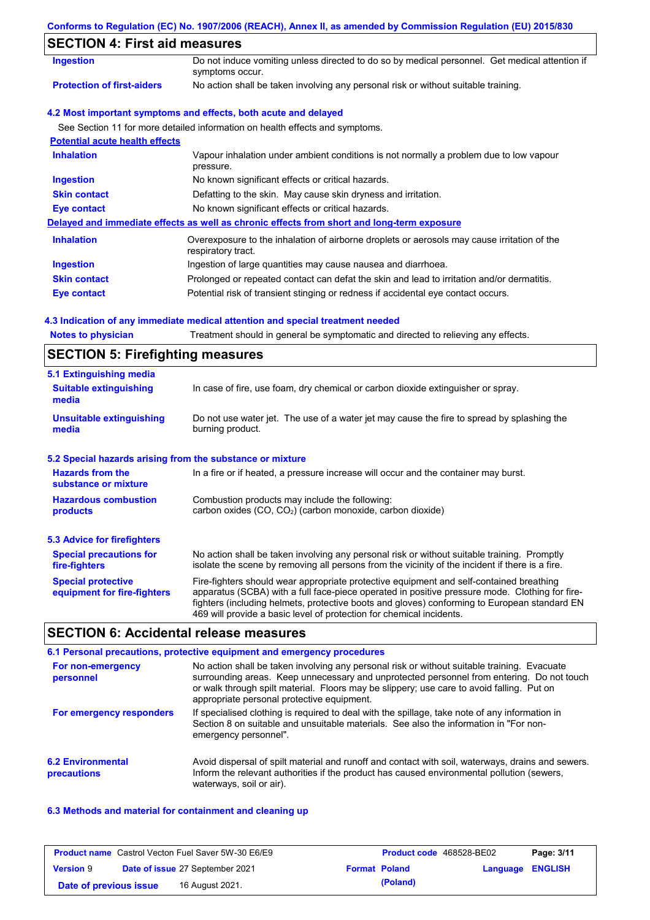#### **Conforms to Regulation (EC) No. 1907/2006 (REACH), Annex II, as amended by Commission Regulation (EU) 2015/830**

# **SECTION 4: First aid measures**

| SECTION 4. FIISLAID MEASURES          |                                                                                                                   |  |  |  |
|---------------------------------------|-------------------------------------------------------------------------------------------------------------------|--|--|--|
| <b>Ingestion</b>                      | Do not induce vomiting unless directed to do so by medical personnel. Get medical attention if<br>symptoms occur. |  |  |  |
| <b>Protection of first-aiders</b>     | No action shall be taken involving any personal risk or without suitable training.                                |  |  |  |
|                                       | 4.2 Most important symptoms and effects, both acute and delayed                                                   |  |  |  |
|                                       | See Section 11 for more detailed information on health effects and symptoms.                                      |  |  |  |
| <b>Potential acute health effects</b> |                                                                                                                   |  |  |  |
| <b>Inhalation</b>                     | Vapour inhalation under ambient conditions is not normally a problem due to low vapour<br>pressure.               |  |  |  |
| <b>Ingestion</b>                      | No known significant effects or critical hazards.                                                                 |  |  |  |
| <b>Skin contact</b>                   | Defatting to the skin. May cause skin dryness and irritation.                                                     |  |  |  |
| Eye contact                           | No known significant effects or critical hazards.                                                                 |  |  |  |
|                                       | Delayed and immediate effects as well as chronic effects from short and long-term exposure                        |  |  |  |
| <b>Inhalation</b>                     | Overexposure to the inhalation of airborne droplets or aerosols may cause irritation of the<br>respiratory tract. |  |  |  |
| <b>Ingestion</b>                      | Ingestion of large quantities may cause nausea and diarrhoea.                                                     |  |  |  |
| <b>Skin contact</b>                   | Prolonged or repeated contact can defat the skin and lead to irritation and/or dermatitis.                        |  |  |  |
| <b>Eye contact</b>                    | Potential risk of transient stinging or redness if accidental eye contact occurs.                                 |  |  |  |

#### **4.3 Indication of any immediate medical attention and special treatment needed**

|  | <b>Notes to physician</b> | Treatment should in general be symptomatic and directed to relieving any effects. |  |
|--|---------------------------|-----------------------------------------------------------------------------------|--|
|--|---------------------------|-----------------------------------------------------------------------------------|--|

# **SECTION 5: Firefighting measures**

| 5.1 Extinguishing media                                                                                                                                                                                                                           |                                                                                                                                                                                                                                                                                                                                                                   |  |
|---------------------------------------------------------------------------------------------------------------------------------------------------------------------------------------------------------------------------------------------------|-------------------------------------------------------------------------------------------------------------------------------------------------------------------------------------------------------------------------------------------------------------------------------------------------------------------------------------------------------------------|--|
| <b>Suitable extinguishing</b><br>media                                                                                                                                                                                                            | In case of fire, use foam, dry chemical or carbon dioxide extinguisher or spray.                                                                                                                                                                                                                                                                                  |  |
| <b>Unsuitable extinguishing</b><br>media                                                                                                                                                                                                          | Do not use water jet. The use of a water jet may cause the fire to spread by splashing the<br>burning product.                                                                                                                                                                                                                                                    |  |
| 5.2 Special hazards arising from the substance or mixture                                                                                                                                                                                         |                                                                                                                                                                                                                                                                                                                                                                   |  |
| <b>Hazards from the</b><br>substance or mixture                                                                                                                                                                                                   | In a fire or if heated, a pressure increase will occur and the container may burst.                                                                                                                                                                                                                                                                               |  |
| <b>Hazardous combustion</b><br>products                                                                                                                                                                                                           | Combustion products may include the following:<br>carbon oxides (CO, CO <sub>2</sub> ) (carbon monoxide, carbon dioxide)                                                                                                                                                                                                                                          |  |
| 5.3 Advice for firefighters                                                                                                                                                                                                                       |                                                                                                                                                                                                                                                                                                                                                                   |  |
| <b>Special precautions for</b><br>No action shall be taken involving any personal risk or without suitable training. Promptly<br>isolate the scene by removing all persons from the vicinity of the incident if there is a fire.<br>fire-fighters |                                                                                                                                                                                                                                                                                                                                                                   |  |
| <b>Special protective</b><br>equipment for fire-fighters                                                                                                                                                                                          | Fire-fighters should wear appropriate protective equipment and self-contained breathing<br>apparatus (SCBA) with a full face-piece operated in positive pressure mode. Clothing for fire-<br>fighters (including helmets, protective boots and gloves) conforming to European standard EN<br>469 will provide a basic level of protection for chemical incidents. |  |

## **SECTION 6: Accidental release measures**

#### **6.2 Environmental precautions** Avoid dispersal of spilt material and runoff and contact with soil, waterways, drains and sewers. Inform the relevant authorities if the product has caused environmental pollution (sewers, waterways, soil or air). **6.1 Personal precautions, protective equipment and emergency procedures For non-emergency personnel For emergency responders** No action shall be taken involving any personal risk or without suitable training. Evacuate surrounding areas. Keep unnecessary and unprotected personnel from entering. Do not touch or walk through spilt material. Floors may be slippery; use care to avoid falling. Put on appropriate personal protective equipment. If specialised clothing is required to deal with the spillage, take note of any information in Section 8 on suitable and unsuitable materials. See also the information in "For nonemergency personnel".

#### **6.3 Methods and material for containment and cleaning up**

|                        | <b>Product name</b> Castrol Vecton Fuel Saver 5W-30 E6/E9 | <b>Product code</b> 468528-BE02 |                  | Page: 3/11 |
|------------------------|-----------------------------------------------------------|---------------------------------|------------------|------------|
| <b>Version 9</b>       | <b>Date of issue 27 September 2021</b>                    | <b>Format Poland</b>            | Language ENGLISH |            |
| Date of previous issue | 16 August 2021.                                           | (Poland)                        |                  |            |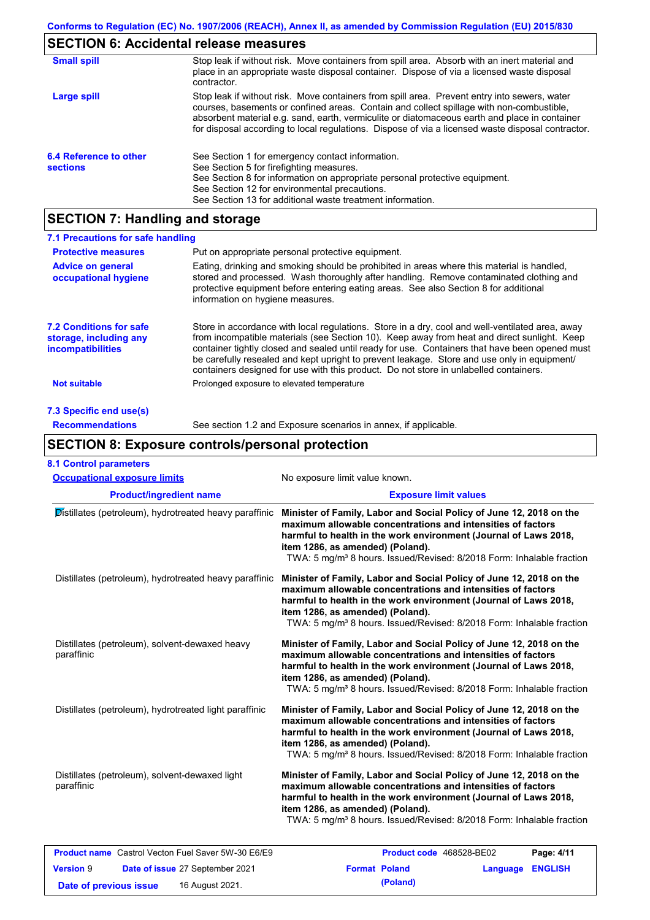# **SECTION 6: Accidental release measures**

| <b>Small spill</b>                        | Stop leak if without risk. Move containers from spill area. Absorb with an inert material and<br>place in an appropriate waste disposal container. Dispose of via a licensed waste disposal<br>contractor.                                                                                                                                                                                     |
|-------------------------------------------|------------------------------------------------------------------------------------------------------------------------------------------------------------------------------------------------------------------------------------------------------------------------------------------------------------------------------------------------------------------------------------------------|
| Large spill                               | Stop leak if without risk. Move containers from spill area. Prevent entry into sewers, water<br>courses, basements or confined areas. Contain and collect spillage with non-combustible,<br>absorbent material e.g. sand, earth, vermiculite or diatomaceous earth and place in container<br>for disposal according to local regulations. Dispose of via a licensed waste disposal contractor. |
| 6.4 Reference to other<br><b>sections</b> | See Section 1 for emergency contact information.<br>See Section 5 for firefighting measures.<br>See Section 8 for information on appropriate personal protective equipment.<br>See Section 12 for environmental precautions.<br>See Section 13 for additional waste treatment information.                                                                                                     |

# **SECTION 7: Handling and storage**

| 7.1 Precautions for safe handling                                                    |                                                                                                                                                                                                                                                                                                                                                                                                                                                                                          |
|--------------------------------------------------------------------------------------|------------------------------------------------------------------------------------------------------------------------------------------------------------------------------------------------------------------------------------------------------------------------------------------------------------------------------------------------------------------------------------------------------------------------------------------------------------------------------------------|
| <b>Protective measures</b>                                                           | Put on appropriate personal protective equipment.                                                                                                                                                                                                                                                                                                                                                                                                                                        |
| <b>Advice on general</b><br>occupational hygiene                                     | Eating, drinking and smoking should be prohibited in areas where this material is handled.<br>stored and processed. Wash thoroughly after handling. Remove contaminated clothing and<br>protective equipment before entering eating areas. See also Section 8 for additional<br>information on hygiene measures.                                                                                                                                                                         |
| <b>7.2 Conditions for safe</b><br>storage, including any<br><i>incompatibilities</i> | Store in accordance with local requiations. Store in a dry, cool and well-ventilated area, away<br>from incompatible materials (see Section 10). Keep away from heat and direct sunlight. Keep<br>container tightly closed and sealed until ready for use. Containers that have been opened must<br>be carefully resealed and kept upright to prevent leakage. Store and use only in equipment/<br>containers designed for use with this product. Do not store in unlabelled containers. |
| <b>Not suitable</b>                                                                  | Prolonged exposure to elevated temperature                                                                                                                                                                                                                                                                                                                                                                                                                                               |
| 7.3 Specific end use(s)                                                              |                                                                                                                                                                                                                                                                                                                                                                                                                                                                                          |
| <b>Recommendations</b>                                                               | See section 1.2 and Exposure scenarios in annex, if applicable.                                                                                                                                                                                                                                                                                                                                                                                                                          |

# **SECTION 8: Exposure controls/personal protection**

| <b>8.1 Control parameters</b>                                |                                                                                                                                                                                                                                                                                                                                 |  |  |
|--------------------------------------------------------------|---------------------------------------------------------------------------------------------------------------------------------------------------------------------------------------------------------------------------------------------------------------------------------------------------------------------------------|--|--|
| <b>Occupational exposure limits</b>                          | No exposure limit value known.                                                                                                                                                                                                                                                                                                  |  |  |
| <b>Product/ingredient name</b>                               | <b>Exposure limit values</b>                                                                                                                                                                                                                                                                                                    |  |  |
| Distillates (petroleum), hydrotreated heavy paraffinic       | Minister of Family, Labor and Social Policy of June 12, 2018 on the<br>maximum allowable concentrations and intensities of factors<br>harmful to health in the work environment (Journal of Laws 2018,<br>item 1286, as amended) (Poland).<br>TWA: 5 mg/m <sup>3</sup> 8 hours. Issued/Revised: 8/2018 Form: Inhalable fraction |  |  |
| Distillates (petroleum), hydrotreated heavy paraffinic       | Minister of Family, Labor and Social Policy of June 12, 2018 on the<br>maximum allowable concentrations and intensities of factors<br>harmful to health in the work environment (Journal of Laws 2018,<br>item 1286, as amended) (Poland).<br>TWA: 5 mg/m <sup>3</sup> 8 hours. Issued/Revised: 8/2018 Form: Inhalable fraction |  |  |
| Distillates (petroleum), solvent-dewaxed heavy<br>paraffinic | Minister of Family, Labor and Social Policy of June 12, 2018 on the<br>maximum allowable concentrations and intensities of factors<br>harmful to health in the work environment (Journal of Laws 2018,<br>item 1286, as amended) (Poland).<br>TWA: 5 mg/m <sup>3</sup> 8 hours. Issued/Revised: 8/2018 Form: Inhalable fraction |  |  |
| Distillates (petroleum), hydrotreated light paraffinic       | Minister of Family, Labor and Social Policy of June 12, 2018 on the<br>maximum allowable concentrations and intensities of factors<br>harmful to health in the work environment (Journal of Laws 2018,<br>item 1286, as amended) (Poland).<br>TWA: 5 mg/m <sup>3</sup> 8 hours. Issued/Revised: 8/2018 Form: Inhalable fraction |  |  |
| Distillates (petroleum), solvent-dewaxed light<br>paraffinic | Minister of Family, Labor and Social Policy of June 12, 2018 on the<br>maximum allowable concentrations and intensities of factors<br>harmful to health in the work environment (Journal of Laws 2018,<br>item 1286, as amended) (Poland).<br>TWA: 5 mg/m <sup>3</sup> 8 hours. Issued/Revised: 8/2018 Form: Inhalable fraction |  |  |
| <b>Product name</b> Castrol Vecton Fuel Saver 5W-30 E6/E9    | Product code 468528-BE02<br>Page: 4/11                                                                                                                                                                                                                                                                                          |  |  |
| <b>Version 9</b><br>Date of issue 27 September 2021          | <b>Format Poland</b><br><b>ENGLISH</b><br>Language                                                                                                                                                                                                                                                                              |  |  |
| 16 August 2021.<br>Date of previous issue                    | (Poland)                                                                                                                                                                                                                                                                                                                        |  |  |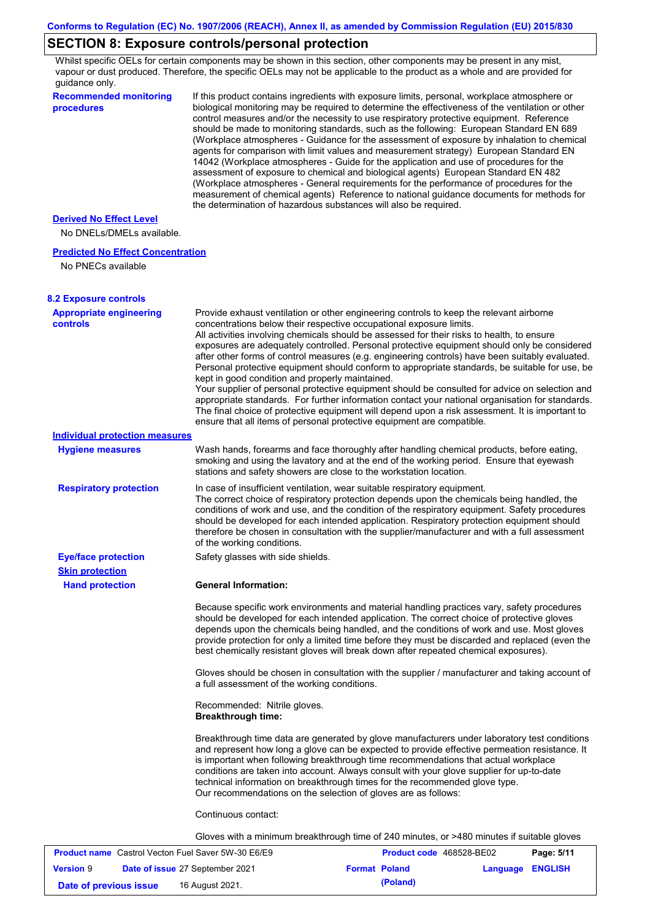# **SECTION 8: Exposure controls/personal protection**

**Date of previous issue 16 August 2021. (Poland) (Poland)** 

Whilst specific OELs for certain components may be shown in this section, other components may be present in any mist, vapour or dust produced. Therefore, the specific OELs may not be applicable to the product as a whole and are provided for guidance only.

| <b>Recommended monitoring</b><br>procedures                                       | If this product contains ingredients with exposure limits, personal, workplace atmosphere or<br>biological monitoring may be required to determine the effectiveness of the ventilation or other<br>control measures and/or the necessity to use respiratory protective equipment. Reference<br>should be made to monitoring standards, such as the following: European Standard EN 689<br>(Workplace atmospheres - Guidance for the assessment of exposure by inhalation to chemical<br>agents for comparison with limit values and measurement strategy) European Standard EN<br>14042 (Workplace atmospheres - Guide for the application and use of procedures for the<br>assessment of exposure to chemical and biological agents) European Standard EN 482<br>(Workplace atmospheres - General requirements for the performance of procedures for the<br>measurement of chemical agents) Reference to national guidance documents for methods for<br>the determination of hazardous substances will also be required. |                          |                 |                |
|-----------------------------------------------------------------------------------|----------------------------------------------------------------------------------------------------------------------------------------------------------------------------------------------------------------------------------------------------------------------------------------------------------------------------------------------------------------------------------------------------------------------------------------------------------------------------------------------------------------------------------------------------------------------------------------------------------------------------------------------------------------------------------------------------------------------------------------------------------------------------------------------------------------------------------------------------------------------------------------------------------------------------------------------------------------------------------------------------------------------------|--------------------------|-----------------|----------------|
| <b>Derived No Effect Level</b>                                                    |                                                                                                                                                                                                                                                                                                                                                                                                                                                                                                                                                                                                                                                                                                                                                                                                                                                                                                                                                                                                                            |                          |                 |                |
| No DNELs/DMELs available.                                                         |                                                                                                                                                                                                                                                                                                                                                                                                                                                                                                                                                                                                                                                                                                                                                                                                                                                                                                                                                                                                                            |                          |                 |                |
| <b>Predicted No Effect Concentration</b>                                          |                                                                                                                                                                                                                                                                                                                                                                                                                                                                                                                                                                                                                                                                                                                                                                                                                                                                                                                                                                                                                            |                          |                 |                |
| No PNECs available                                                                |                                                                                                                                                                                                                                                                                                                                                                                                                                                                                                                                                                                                                                                                                                                                                                                                                                                                                                                                                                                                                            |                          |                 |                |
|                                                                                   |                                                                                                                                                                                                                                                                                                                                                                                                                                                                                                                                                                                                                                                                                                                                                                                                                                                                                                                                                                                                                            |                          |                 |                |
| <b>8.2 Exposure controls</b><br><b>Appropriate engineering</b><br><b>controls</b> | Provide exhaust ventilation or other engineering controls to keep the relevant airborne<br>concentrations below their respective occupational exposure limits.<br>All activities involving chemicals should be assessed for their risks to health, to ensure<br>exposures are adequately controlled. Personal protective equipment should only be considered<br>after other forms of control measures (e.g. engineering controls) have been suitably evaluated.<br>Personal protective equipment should conform to appropriate standards, be suitable for use, be<br>kept in good condition and properly maintained.<br>Your supplier of personal protective equipment should be consulted for advice on selection and<br>appropriate standards. For further information contact your national organisation for standards.<br>The final choice of protective equipment will depend upon a risk assessment. It is important to<br>ensure that all items of personal protective equipment are compatible.                    |                          |                 |                |
| <b>Individual protection measures</b>                                             |                                                                                                                                                                                                                                                                                                                                                                                                                                                                                                                                                                                                                                                                                                                                                                                                                                                                                                                                                                                                                            |                          |                 |                |
| <b>Hygiene measures</b>                                                           | Wash hands, forearms and face thoroughly after handling chemical products, before eating,<br>smoking and using the lavatory and at the end of the working period. Ensure that eyewash<br>stations and safety showers are close to the workstation location.                                                                                                                                                                                                                                                                                                                                                                                                                                                                                                                                                                                                                                                                                                                                                                |                          |                 |                |
| <b>Respiratory protection</b>                                                     | In case of insufficient ventilation, wear suitable respiratory equipment.<br>The correct choice of respiratory protection depends upon the chemicals being handled, the<br>conditions of work and use, and the condition of the respiratory equipment. Safety procedures<br>should be developed for each intended application. Respiratory protection equipment should<br>therefore be chosen in consultation with the supplier/manufacturer and with a full assessment<br>of the working conditions.                                                                                                                                                                                                                                                                                                                                                                                                                                                                                                                      |                          |                 |                |
| <b>Eye/face protection</b>                                                        | Safety glasses with side shields.                                                                                                                                                                                                                                                                                                                                                                                                                                                                                                                                                                                                                                                                                                                                                                                                                                                                                                                                                                                          |                          |                 |                |
| <b>Skin protection</b>                                                            |                                                                                                                                                                                                                                                                                                                                                                                                                                                                                                                                                                                                                                                                                                                                                                                                                                                                                                                                                                                                                            |                          |                 |                |
| <b>Hand protection</b>                                                            | <b>General Information:</b>                                                                                                                                                                                                                                                                                                                                                                                                                                                                                                                                                                                                                                                                                                                                                                                                                                                                                                                                                                                                |                          |                 |                |
|                                                                                   | Because specific work environments and material handling practices vary, safety procedures<br>should be developed for each intended application. The correct choice of protective gloves<br>depends upon the chemicals being handled, and the conditions of work and use. Most gloves<br>provide protection for only a limited time before they must be discarded and replaced (even the<br>best chemically resistant gloves will break down after repeated chemical exposures).                                                                                                                                                                                                                                                                                                                                                                                                                                                                                                                                           |                          |                 |                |
|                                                                                   | Gloves should be chosen in consultation with the supplier / manufacturer and taking account of<br>a full assessment of the working conditions.                                                                                                                                                                                                                                                                                                                                                                                                                                                                                                                                                                                                                                                                                                                                                                                                                                                                             |                          |                 |                |
|                                                                                   | Recommended: Nitrile gloves.<br><b>Breakthrough time:</b>                                                                                                                                                                                                                                                                                                                                                                                                                                                                                                                                                                                                                                                                                                                                                                                                                                                                                                                                                                  |                          |                 |                |
|                                                                                   | Breakthrough time data are generated by glove manufacturers under laboratory test conditions<br>and represent how long a glove can be expected to provide effective permeation resistance. It<br>is important when following breakthrough time recommendations that actual workplace<br>conditions are taken into account. Always consult with your glove supplier for up-to-date<br>technical information on breakthrough times for the recommended glove type.<br>Our recommendations on the selection of gloves are as follows:                                                                                                                                                                                                                                                                                                                                                                                                                                                                                         |                          |                 |                |
|                                                                                   | Continuous contact:                                                                                                                                                                                                                                                                                                                                                                                                                                                                                                                                                                                                                                                                                                                                                                                                                                                                                                                                                                                                        |                          |                 |                |
|                                                                                   | Gloves with a minimum breakthrough time of 240 minutes, or >480 minutes if suitable gloves                                                                                                                                                                                                                                                                                                                                                                                                                                                                                                                                                                                                                                                                                                                                                                                                                                                                                                                                 |                          |                 |                |
| <b>Product name</b> Castrol Vecton Fuel Saver 5W-30 E6/E9                         |                                                                                                                                                                                                                                                                                                                                                                                                                                                                                                                                                                                                                                                                                                                                                                                                                                                                                                                                                                                                                            | Product code 468528-BE02 |                 | Page: 5/11     |
| <b>Version 9</b><br>Date of issue 27 September 2021                               |                                                                                                                                                                                                                                                                                                                                                                                                                                                                                                                                                                                                                                                                                                                                                                                                                                                                                                                                                                                                                            | <b>Format Poland</b>     | <b>Language</b> | <b>ENGLISH</b> |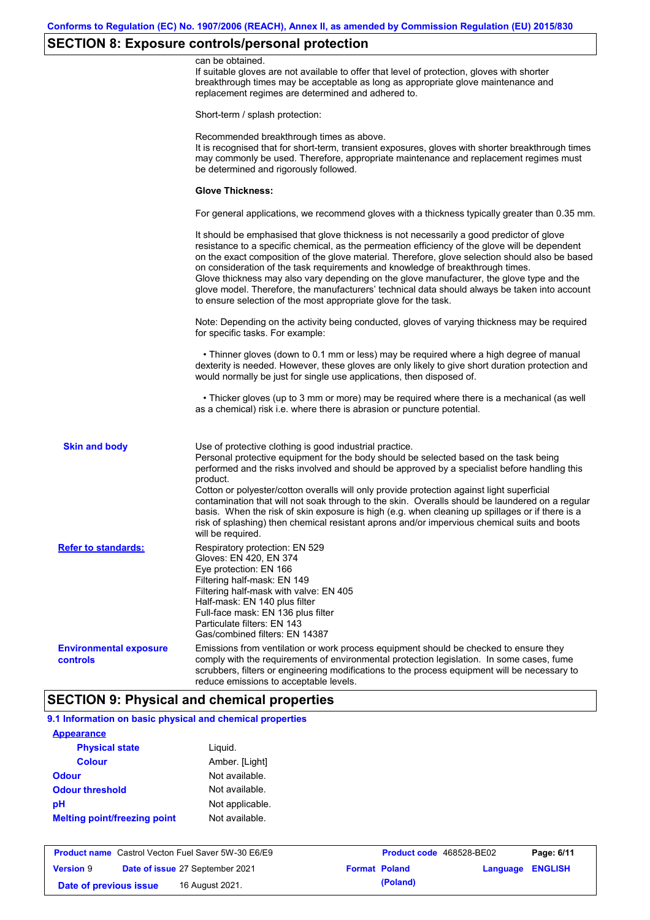# **SECTION 8: Exposure controls/personal protection**

|                                           | can be obtained.<br>If suitable gloves are not available to offer that level of protection, gloves with shorter<br>breakthrough times may be acceptable as long as appropriate glove maintenance and<br>replacement regimes are determined and adhered to.                                                                                                                                                                                                                                                                                                                                                                                                                            |
|-------------------------------------------|---------------------------------------------------------------------------------------------------------------------------------------------------------------------------------------------------------------------------------------------------------------------------------------------------------------------------------------------------------------------------------------------------------------------------------------------------------------------------------------------------------------------------------------------------------------------------------------------------------------------------------------------------------------------------------------|
|                                           | Short-term / splash protection:                                                                                                                                                                                                                                                                                                                                                                                                                                                                                                                                                                                                                                                       |
|                                           | Recommended breakthrough times as above.<br>It is recognised that for short-term, transient exposures, gloves with shorter breakthrough times<br>may commonly be used. Therefore, appropriate maintenance and replacement regimes must<br>be determined and rigorously followed.                                                                                                                                                                                                                                                                                                                                                                                                      |
|                                           | <b>Glove Thickness:</b>                                                                                                                                                                                                                                                                                                                                                                                                                                                                                                                                                                                                                                                               |
|                                           | For general applications, we recommend gloves with a thickness typically greater than 0.35 mm.                                                                                                                                                                                                                                                                                                                                                                                                                                                                                                                                                                                        |
|                                           | It should be emphasised that glove thickness is not necessarily a good predictor of glove<br>resistance to a specific chemical, as the permeation efficiency of the glove will be dependent<br>on the exact composition of the glove material. Therefore, glove selection should also be based<br>on consideration of the task requirements and knowledge of breakthrough times.<br>Glove thickness may also vary depending on the glove manufacturer, the glove type and the<br>glove model. Therefore, the manufacturers' technical data should always be taken into account<br>to ensure selection of the most appropriate glove for the task.                                     |
|                                           | Note: Depending on the activity being conducted, gloves of varying thickness may be required<br>for specific tasks. For example:                                                                                                                                                                                                                                                                                                                                                                                                                                                                                                                                                      |
|                                           | • Thinner gloves (down to 0.1 mm or less) may be required where a high degree of manual<br>dexterity is needed. However, these gloves are only likely to give short duration protection and<br>would normally be just for single use applications, then disposed of.                                                                                                                                                                                                                                                                                                                                                                                                                  |
|                                           | • Thicker gloves (up to 3 mm or more) may be required where there is a mechanical (as well<br>as a chemical) risk i.e. where there is abrasion or puncture potential.                                                                                                                                                                                                                                                                                                                                                                                                                                                                                                                 |
| <b>Skin and body</b>                      | Use of protective clothing is good industrial practice.<br>Personal protective equipment for the body should be selected based on the task being<br>performed and the risks involved and should be approved by a specialist before handling this<br>product.<br>Cotton or polyester/cotton overalls will only provide protection against light superficial<br>contamination that will not soak through to the skin. Overalls should be laundered on a regular<br>basis. When the risk of skin exposure is high (e.g. when cleaning up spillages or if there is a<br>risk of splashing) then chemical resistant aprons and/or impervious chemical suits and boots<br>will be required. |
| <b>Refer to standards:</b>                | Respiratory protection: EN 529<br>Gloves: EN 420, EN 374<br>Eye protection: EN 166<br>Filtering half-mask: EN 149<br>Filtering half-mask with valve: EN 405<br>Half-mask: EN 140 plus filter<br>Full-face mask: EN 136 plus filter<br>Particulate filters: EN 143<br>Gas/combined filters: EN 14387                                                                                                                                                                                                                                                                                                                                                                                   |
| <b>Environmental exposure</b><br>controls | Emissions from ventilation or work process equipment should be checked to ensure they<br>comply with the requirements of environmental protection legislation. In some cases, fume<br>scrubbers, filters or engineering modifications to the process equipment will be necessary to<br>reduce emissions to acceptable levels.                                                                                                                                                                                                                                                                                                                                                         |

| 9.1 Information on basic physical and chemical properties |                 |
|-----------------------------------------------------------|-----------------|
| <b>Appearance</b>                                         |                 |
| <b>Physical state</b>                                     | Liguid.         |
| Colour                                                    | Amber. [Light]  |
| Odour                                                     | Not available.  |
| <b>Odour threshold</b>                                    | Not available.  |
| pН                                                        | Not applicable. |
| <b>Melting point/freezing point</b>                       | Not available.  |

|                        | <b>Product name</b> Castrol Vecton Fuel Saver 5W-30 E6/E9 | <b>Product code</b> 468528-BE02 |                         | Page: 6/11 |
|------------------------|-----------------------------------------------------------|---------------------------------|-------------------------|------------|
| <b>Version 9</b>       | <b>Date of issue 27 September 2021</b>                    | <b>Format Poland</b>            | <b>Language ENGLISH</b> |            |
| Date of previous issue | 16 August 2021.                                           | (Poland)                        |                         |            |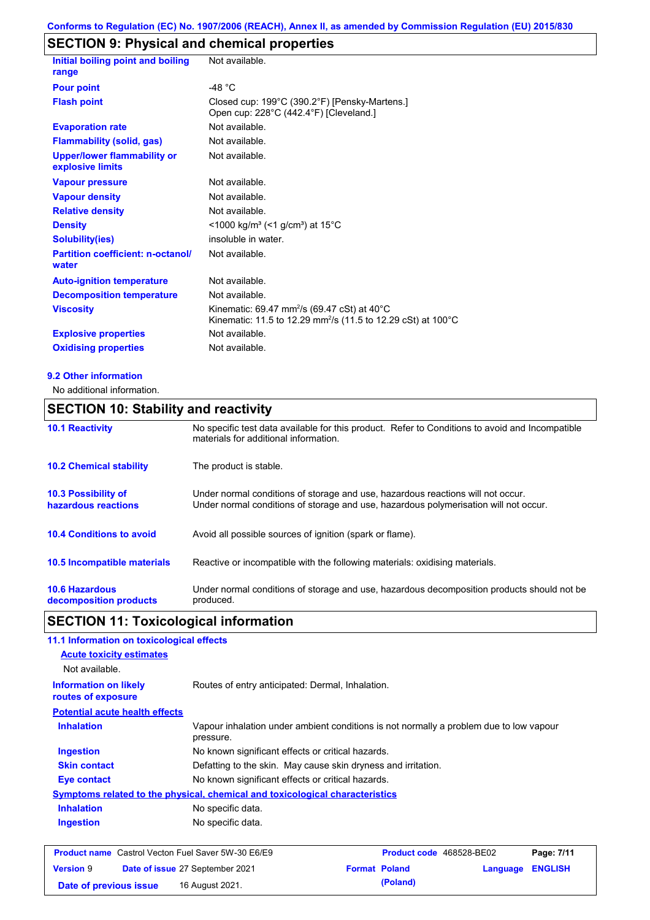# **SECTION 9: Physical and chemical properties**

| Initial boiling point and boiling<br>range             | Not available.                                                                                                                                  |
|--------------------------------------------------------|-------------------------------------------------------------------------------------------------------------------------------------------------|
| <b>Pour point</b>                                      | $-48 °C$                                                                                                                                        |
| <b>Flash point</b>                                     | Closed cup: 199°C (390.2°F) [Pensky-Martens.]<br>Open cup: 228°C (442.4°F) [Cleveland.]                                                         |
| <b>Evaporation rate</b>                                | Not available.                                                                                                                                  |
| <b>Flammability (solid, gas)</b>                       | Not available.                                                                                                                                  |
| <b>Upper/lower flammability or</b><br>explosive limits | Not available.                                                                                                                                  |
| <b>Vapour pressure</b>                                 | Not available.                                                                                                                                  |
| <b>Vapour density</b>                                  | Not available.                                                                                                                                  |
| <b>Relative density</b>                                | Not available.                                                                                                                                  |
| <b>Density</b>                                         | <1000 kg/m <sup>3</sup> (<1 g/cm <sup>3</sup> ) at 15°C                                                                                         |
| <b>Solubility(ies)</b>                                 | insoluble in water.                                                                                                                             |
| <b>Partition coefficient: n-octanol/</b><br>water      | Not available.                                                                                                                                  |
| <b>Auto-ignition temperature</b>                       | Not available.                                                                                                                                  |
| <b>Decomposition temperature</b>                       | Not available.                                                                                                                                  |
| <b>Viscosity</b>                                       | Kinematic: 69.47 mm <sup>2</sup> /s (69.47 cSt) at 40 $^{\circ}$ C<br>Kinematic: 11.5 to 12.29 mm <sup>2</sup> /s (11.5 to 12.29 cSt) at 100 °C |
| <b>Explosive properties</b>                            | Not available.                                                                                                                                  |
| <b>Oxidising properties</b>                            | Not available.                                                                                                                                  |
|                                                        |                                                                                                                                                 |

#### **9.2 Other information**

No additional information.

# **10.6 Hazardous decomposition products 10.4 Conditions to avoid** Avoid all possible sources of ignition (spark or flame). Under normal conditions of storage and use, hazardous decomposition products should not be produced. **10.2 Chemical stability** The product is stable. **10.5 Incompatible materials 10.3 Possibility of hazardous reactions** Under normal conditions of storage and use, hazardous reactions will not occur. Under normal conditions of storage and use, hazardous polymerisation will not occur. **SECTION 10: Stability and reactivity 10.1 Reactivity** No specific test data available for this product. Refer to Conditions to avoid and Incompatible materials for additional information. Reactive or incompatible with the following materials: oxidising materials.

# **SECTION 11: Toxicological information**

| 11.1 Information on toxicological effects                 |                                                                              |                                                                                        |          |                |
|-----------------------------------------------------------|------------------------------------------------------------------------------|----------------------------------------------------------------------------------------|----------|----------------|
| <b>Acute toxicity estimates</b>                           |                                                                              |                                                                                        |          |                |
| Not available.                                            |                                                                              |                                                                                        |          |                |
| <b>Information on likely</b><br>routes of exposure        | Routes of entry anticipated: Dermal, Inhalation.                             |                                                                                        |          |                |
| <b>Potential acute health effects</b>                     |                                                                              |                                                                                        |          |                |
| <b>Inhalation</b>                                         | pressure.                                                                    | Vapour inhalation under ambient conditions is not normally a problem due to low vapour |          |                |
| Ingestion                                                 | No known significant effects or critical hazards.                            |                                                                                        |          |                |
| <b>Skin contact</b>                                       |                                                                              | Defatting to the skin. May cause skin dryness and irritation.                          |          |                |
| Eye contact                                               | No known significant effects or critical hazards.                            |                                                                                        |          |                |
|                                                           | Symptoms related to the physical, chemical and toxicological characteristics |                                                                                        |          |                |
| <b>Inhalation</b>                                         | No specific data.                                                            |                                                                                        |          |                |
| Ingestion                                                 | No specific data.                                                            |                                                                                        |          |                |
| <b>Product name</b> Castrol Vecton Fuel Saver 5W-30 E6/E9 |                                                                              | Product code 468528-BE02                                                               |          | Page: 7/11     |
| <b>Version 9</b>                                          | Date of issue 27 September 2021                                              | <b>Format Poland</b>                                                                   | Language | <b>ENGLISH</b> |
| Date of previous issue                                    | 16 August 2021.                                                              | (Poland)                                                                               |          |                |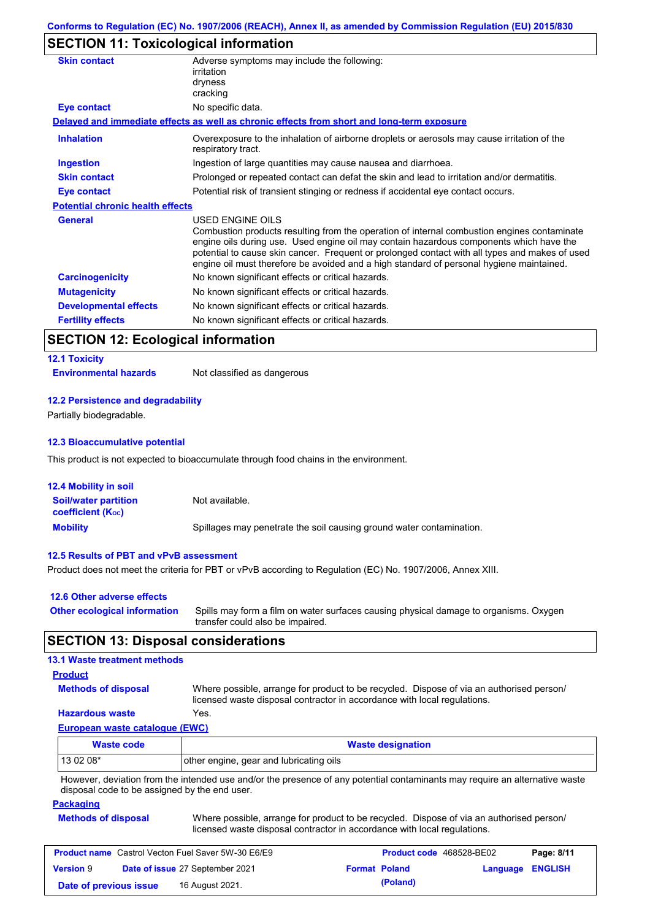# **SECTION 11: Toxicological information**

| <b>Skin contact</b>                     | Adverse symptoms may include the following:<br>irritation<br>dryness<br>cracking                                                                                                                                                                                                                                                                                                                         |
|-----------------------------------------|----------------------------------------------------------------------------------------------------------------------------------------------------------------------------------------------------------------------------------------------------------------------------------------------------------------------------------------------------------------------------------------------------------|
| Eye contact                             | No specific data.                                                                                                                                                                                                                                                                                                                                                                                        |
|                                         | Delayed and immediate effects as well as chronic effects from short and long-term exposure                                                                                                                                                                                                                                                                                                               |
| <b>Inhalation</b>                       | Overexposure to the inhalation of airborne droplets or aerosols may cause irritation of the<br>respiratory tract.                                                                                                                                                                                                                                                                                        |
| <b>Ingestion</b>                        | Ingestion of large quantities may cause nausea and diarrhoea.                                                                                                                                                                                                                                                                                                                                            |
| <b>Skin contact</b>                     | Prolonged or repeated contact can defat the skin and lead to irritation and/or dermatitis.                                                                                                                                                                                                                                                                                                               |
| Eye contact                             | Potential risk of transient stinging or redness if accidental eye contact occurs.                                                                                                                                                                                                                                                                                                                        |
| <b>Potential chronic health effects</b> |                                                                                                                                                                                                                                                                                                                                                                                                          |
| <b>General</b>                          | USED ENGINE OILS<br>Combustion products resulting from the operation of internal combustion engines contaminate<br>engine oils during use. Used engine oil may contain hazardous components which have the<br>potential to cause skin cancer. Frequent or prolonged contact with all types and makes of used<br>engine oil must therefore be avoided and a high standard of personal hygiene maintained. |
| <b>Carcinogenicity</b>                  | No known significant effects or critical hazards.                                                                                                                                                                                                                                                                                                                                                        |
| <b>Mutagenicity</b>                     | No known significant effects or critical hazards.                                                                                                                                                                                                                                                                                                                                                        |
| <b>Developmental effects</b>            | No known significant effects or critical hazards.                                                                                                                                                                                                                                                                                                                                                        |
| <b>Fertility effects</b>                | No known significant effects or critical hazards.                                                                                                                                                                                                                                                                                                                                                        |

# **SECTION 12: Ecological information**

# **12.1 Toxicity**

**Environmental hazards** Not classified as dangerous

#### **12.2 Persistence and degradability**

Partially biodegradable.

#### **12.3 Bioaccumulative potential**

This product is not expected to bioaccumulate through food chains in the environment.

| <b>12.4 Mobility in soil</b>                                  |                                                                      |
|---------------------------------------------------------------|----------------------------------------------------------------------|
| <b>Soil/water partition</b><br>coefficient (K <sub>oc</sub> ) | Not available.                                                       |
| <b>Mobility</b>                                               | Spillages may penetrate the soil causing ground water contamination. |

### **12.5 Results of PBT and vPvB assessment**

Product does not meet the criteria for PBT or vPvB according to Regulation (EC) No. 1907/2006, Annex XIII.

| 12.6 Other adverse effects          |                                                                                                                           |
|-------------------------------------|---------------------------------------------------------------------------------------------------------------------------|
| <b>Other ecological information</b> | Spills may form a film on water surfaces causing physical damage to organisms. Oxygen<br>transfer could also be impaired. |

# **SECTION 13: Disposal considerations**

#### **European waste catalogue (EWC) Hazardous waste** Yes. Where possible, arrange for product to be recycled. Dispose of via an authorised person/ licensed waste disposal contractor in accordance with local regulations. **Methods of disposal 13.1 Waste treatment methods Product**

| <b>Waste code</b> | <b>Waste designation</b>                |
|-------------------|-----------------------------------------|
| $130208*$         | other engine, gear and lubricating oils |
| .                 |                                         |

However, deviation from the intended use and/or the presence of any potential contaminants may require an alternative waste disposal code to be assigned by the end user.

**Packaging**

| <b>Methods of disposal</b> | Where possible, arrange for product to be recycled. Dispose of via an authorised person/ |  |
|----------------------------|------------------------------------------------------------------------------------------|--|
|                            | licensed waste disposal contractor in accordance with local regulations.                 |  |

| <b>Product name</b> Castrol Vecton Fuel Saver 5W-30 E6/E9 |  |                                 | <b>Product code</b> 468528-BE02 | Page: 8/11 |                  |  |
|-----------------------------------------------------------|--|---------------------------------|---------------------------------|------------|------------------|--|
| <b>Version 9</b>                                          |  | Date of issue 27 September 2021 | <b>Format Poland</b>            |            | Language ENGLISH |  |
| Date of previous issue                                    |  | 16 August 2021.                 |                                 | (Poland)   |                  |  |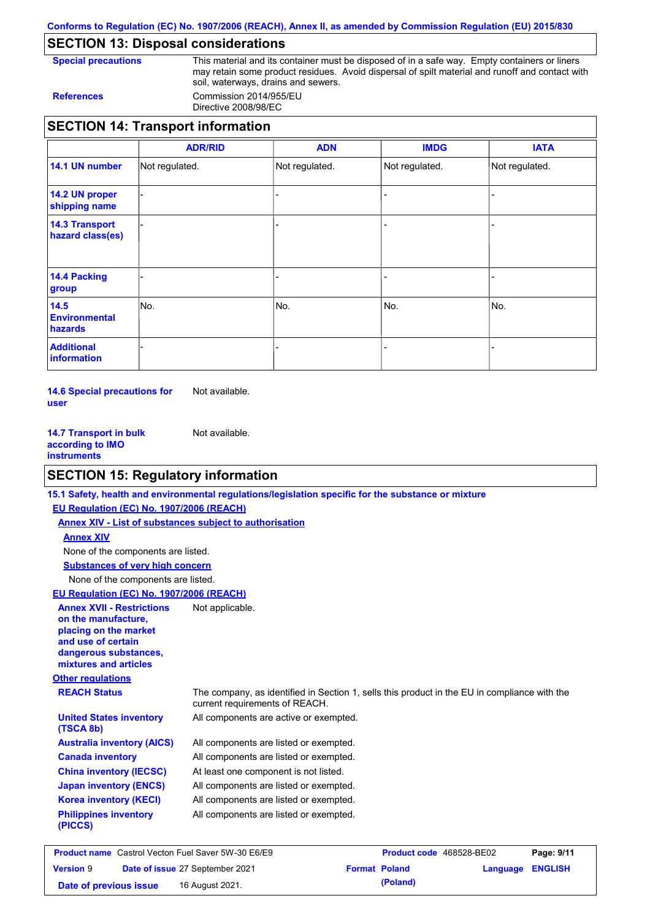**Conforms to Regulation (EC) No. 1907/2006 (REACH), Annex II, as amended by Commission Regulation (EU) 2015/830**

# **SECTION 13: Disposal considerations**

**Special precautions** This material and its container must be disposed of in a safe way. Empty containers or liners may retain some product residues. Avoid dispersal of spilt material and runoff and contact with soil, waterways, drains and sewers. **References** Commission 2014/955/EU

Directive 2008/98/EC

# **SECTION 14: Transport information**

|                                           | <b>ADR/RID</b> | <b>ADN</b>     | <b>IMDG</b>    | <b>IATA</b>    |
|-------------------------------------------|----------------|----------------|----------------|----------------|
| 14.1 UN number                            | Not regulated. | Not regulated. | Not regulated. | Not regulated. |
| 14.2 UN proper<br>shipping name           |                |                |                |                |
| <b>14.3 Transport</b><br>hazard class(es) |                |                |                |                |
| 14.4 Packing<br>group                     |                |                |                |                |
| 14.5<br><b>Environmental</b><br>hazards   | No.            | No.            | No.            | No.            |
| <b>Additional</b><br>information          |                |                |                |                |

**14.6 Special precautions for user** Not available.

**14.7 Transport in bulk according to IMO instruments** Not available.

# **SECTION 15: Regulatory information**

|                                                                | 15.1 Safety, health and environmental regulations/legislation specific for the substance or mixture                            |                          |            |
|----------------------------------------------------------------|--------------------------------------------------------------------------------------------------------------------------------|--------------------------|------------|
| EU Regulation (EC) No. 1907/2006 (REACH)                       |                                                                                                                                |                          |            |
| <b>Annex XIV - List of substances subject to authorisation</b> |                                                                                                                                |                          |            |
| <b>Annex XIV</b>                                               |                                                                                                                                |                          |            |
| None of the components are listed.                             |                                                                                                                                |                          |            |
| <b>Substances of very high concern</b>                         |                                                                                                                                |                          |            |
| None of the components are listed.                             |                                                                                                                                |                          |            |
| EU Regulation (EC) No. 1907/2006 (REACH)                       |                                                                                                                                |                          |            |
| <b>Annex XVII - Restrictions</b>                               | Not applicable.                                                                                                                |                          |            |
| on the manufacture,                                            |                                                                                                                                |                          |            |
| placing on the market                                          |                                                                                                                                |                          |            |
| and use of certain                                             |                                                                                                                                |                          |            |
| dangerous substances,<br>mixtures and articles                 |                                                                                                                                |                          |            |
|                                                                |                                                                                                                                |                          |            |
| <b>Other regulations</b>                                       |                                                                                                                                |                          |            |
| <b>REACH Status</b>                                            | The company, as identified in Section 1, sells this product in the EU in compliance with the<br>current requirements of REACH. |                          |            |
| <b>United States inventory</b><br>(TSCA 8b)                    | All components are active or exempted.                                                                                         |                          |            |
| <b>Australia inventory (AICS)</b>                              | All components are listed or exempted.                                                                                         |                          |            |
| <b>Canada inventory</b>                                        | All components are listed or exempted.                                                                                         |                          |            |
| <b>China inventory (IECSC)</b>                                 | At least one component is not listed.                                                                                          |                          |            |
| <b>Japan inventory (ENCS)</b>                                  | All components are listed or exempted.                                                                                         |                          |            |
| <b>Korea inventory (KECI)</b>                                  | All components are listed or exempted.                                                                                         |                          |            |
| <b>Philippines inventory</b><br>(PICCS)                        | All components are listed or exempted.                                                                                         |                          |            |
| <b>Product name</b> Castrol Vecton Fuel Saver 5W-30 E6/E9      |                                                                                                                                | Product code 468528-BE02 | Page: 9/11 |

| <b>Product name</b> Castrol Vecton Fuel Saver 5W-30 E6/E9 |  |                                        | <b>Product code</b> 468528-BE02 | Page: 9/11           |                  |  |
|-----------------------------------------------------------|--|----------------------------------------|---------------------------------|----------------------|------------------|--|
| <b>Version 9</b>                                          |  | <b>Date of issue 27 September 2021</b> |                                 | <b>Format Poland</b> | Language ENGLISH |  |
| Date of previous issue                                    |  | 16 August 2021.                        |                                 | (Poland)             |                  |  |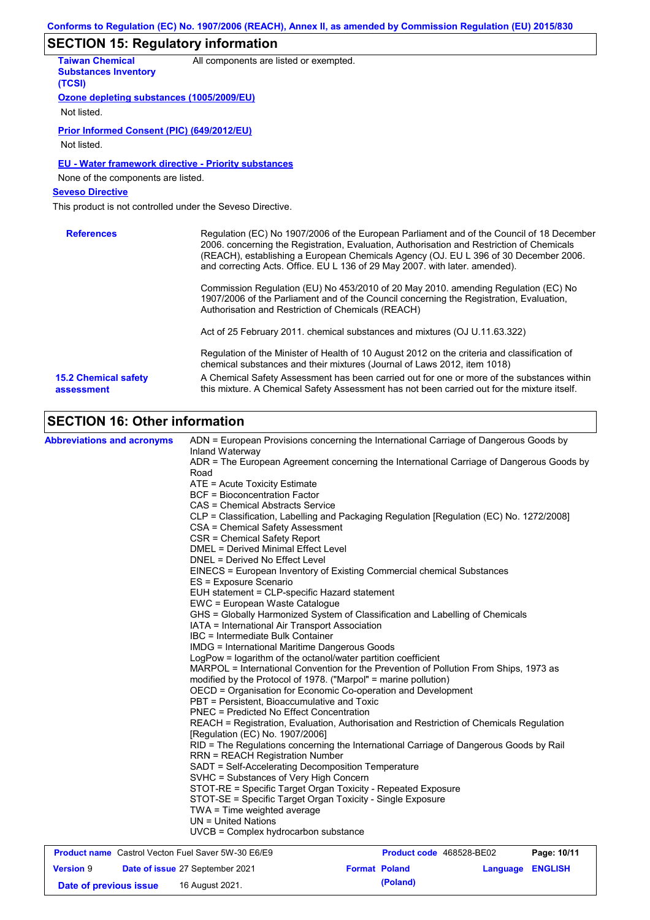# **SECTION 15: Regulatory information**

| <b>Taiwan Chemical</b><br><b>Substances Inventory</b><br>(TCSI)                                                              | All components are listed or exempted.                                                                                                                                                                                                                                                                                                                        |
|------------------------------------------------------------------------------------------------------------------------------|---------------------------------------------------------------------------------------------------------------------------------------------------------------------------------------------------------------------------------------------------------------------------------------------------------------------------------------------------------------|
| Ozone depleting substances (1005/2009/EU)<br>Not listed.                                                                     |                                                                                                                                                                                                                                                                                                                                                               |
| Prior Informed Consent (PIC) (649/2012/EU)<br>Not listed.                                                                    |                                                                                                                                                                                                                                                                                                                                                               |
| <b>EU - Water framework directive - Priority substances</b><br>None of the components are listed.<br><b>Seveso Directive</b> |                                                                                                                                                                                                                                                                                                                                                               |
| This product is not controlled under the Seveso Directive.                                                                   |                                                                                                                                                                                                                                                                                                                                                               |
| <b>References</b>                                                                                                            | Regulation (EC) No 1907/2006 of the European Parliament and of the Council of 18 December<br>2006. concerning the Registration, Evaluation, Authorisation and Restriction of Chemicals<br>(REACH), establishing a European Chemicals Agency (OJ. EU L 396 of 30 December 2006.<br>and correcting Acts. Office. EU L 136 of 29 May 2007. with later. amended). |
|                                                                                                                              | Commission Regulation (EU) No 453/2010 of 20 May 2010, amending Regulation (EC) No<br>1907/2006 of the Parliament and of the Council concerning the Registration, Evaluation,<br>Authorisation and Restriction of Chemicals (REACH)                                                                                                                           |
|                                                                                                                              | Act of 25 February 2011. chemical substances and mixtures (OJ U.11.63.322)                                                                                                                                                                                                                                                                                    |
|                                                                                                                              | Regulation of the Minister of Health of 10 August 2012 on the criteria and classification of<br>chemical substances and their mixtures (Journal of Laws 2012, item 1018)                                                                                                                                                                                      |
| <b>15.2 Chemical safety</b><br>assessment                                                                                    | A Chemical Safety Assessment has been carried out for one or more of the substances within<br>this mixture. A Chemical Safety Assessment has not been carried out for the mixture itself.                                                                                                                                                                     |
| <b>SECTION 16: Other information</b>                                                                                         |                                                                                                                                                                                                                                                                                                                                                               |
| <b>Abbreviations and acronyms</b>                                                                                            | ADN = European Provisions concerning the International Carriage of Dangerous Goods by<br>Inland Waterway<br>ADR = The European Agreement concerning the International Carriage of Dangerous Goods by                                                                                                                                                          |

| Road<br>ATE = Acute Toxicity Estimate                                                                   | ADR = The European Agreement concerning the International Carriage of Dangerous Goods by                                                                 |
|---------------------------------------------------------------------------------------------------------|----------------------------------------------------------------------------------------------------------------------------------------------------------|
| <b>BCF</b> = Bioconcentration Factor                                                                    |                                                                                                                                                          |
| CAS = Chemical Abstracts Service                                                                        |                                                                                                                                                          |
| CSA = Chemical Safety Assessment<br>CSR = Chemical Safety Report<br>DMEL = Derived Minimal Effect Level | CLP = Classification, Labelling and Packaging Regulation [Regulation (EC) No. 1272/2008]                                                                 |
| DNEL = Derived No Effect Level                                                                          |                                                                                                                                                          |
| ES = Exposure Scenario                                                                                  | EINECS = European Inventory of Existing Commercial chemical Substances                                                                                   |
|                                                                                                         | EUH statement = CLP-specific Hazard statement                                                                                                            |
| EWC = European Waste Catalogue                                                                          |                                                                                                                                                          |
|                                                                                                         | GHS = Globally Harmonized System of Classification and Labelling of Chemicals<br>IATA = International Air Transport Association                          |
| IBC = Intermediate Bulk Container                                                                       |                                                                                                                                                          |
|                                                                                                         | <b>IMDG = International Maritime Dangerous Goods</b>                                                                                                     |
|                                                                                                         | LogPow = logarithm of the octanol/water partition coefficient                                                                                            |
|                                                                                                         | MARPOL = International Convention for the Prevention of Pollution From Ships, 1973 as<br>modified by the Protocol of 1978. ("Marpol" = marine pollution) |
|                                                                                                         | OECD = Organisation for Economic Co-operation and Development                                                                                            |
|                                                                                                         | PBT = Persistent, Bioaccumulative and Toxic                                                                                                              |
|                                                                                                         | <b>PNEC = Predicted No Effect Concentration</b>                                                                                                          |
| [Regulation (EC) No. 1907/2006]                                                                         | REACH = Registration, Evaluation, Authorisation and Restriction of Chemicals Regulation                                                                  |
| <b>RRN = REACH Registration Number</b>                                                                  | RID = The Regulations concerning the International Carriage of Dangerous Goods by Rail                                                                   |
|                                                                                                         | SADT = Self-Accelerating Decomposition Temperature                                                                                                       |
|                                                                                                         | SVHC = Substances of Very High Concern                                                                                                                   |
|                                                                                                         | STOT-RE = Specific Target Organ Toxicity - Repeated Exposure                                                                                             |
|                                                                                                         | STOT-SE = Specific Target Organ Toxicity - Single Exposure                                                                                               |
| TWA = Time weighted average                                                                             |                                                                                                                                                          |
| $UN = United Nations$                                                                                   |                                                                                                                                                          |
|                                                                                                         | $UVCB = Complex\;hydrocarbon\; substance$                                                                                                                |
| <b>Brodust name</b> Control Vector Fuel Cover EW 20 FRIED                                               | <b>Draduat and ACOEDO DEDO</b><br><b>Dogo: 40/44</b>                                                                                                     |

| <b>Product name</b> Castrol Vecton Fuel Saver 5W-30 E6/E9 |  |                                        | Product code 468528-BE02 | Page: 10/11          |                         |  |
|-----------------------------------------------------------|--|----------------------------------------|--------------------------|----------------------|-------------------------|--|
| <b>Version 9</b>                                          |  | <b>Date of issue 27 September 2021</b> |                          | <b>Format Poland</b> | <b>Language ENGLISH</b> |  |
| Date of previous issue                                    |  | 16 August 2021.                        |                          | (Poland)             |                         |  |